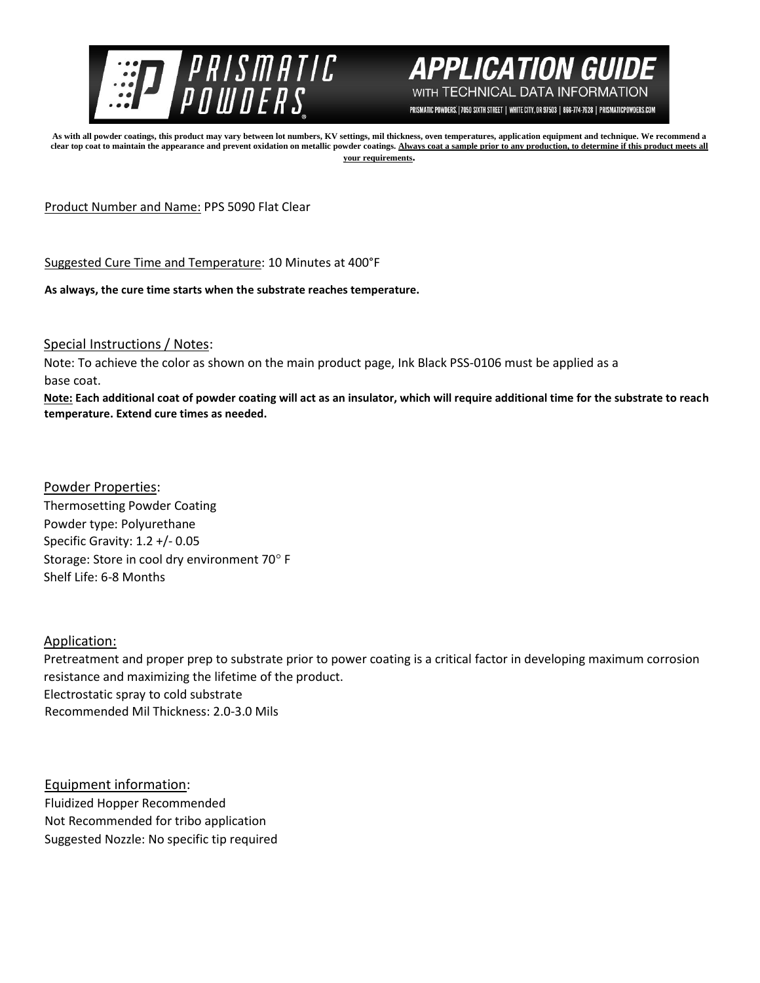

## **APPLICATION GUI** WITH TECHNICAL DATA INFORMATION

PRISMATIC POWDERS. | 7050 SIXTH STREET | WHITE CITY, OR 97503 | 866-774-7628 | PRISMATICPOWDERS.COM

**As with all powder coatings, this product may vary between lot numbers, KV settings, mil thickness, oven temperatures, application equipment and technique. We recommend a**  clear top coat to maintain the appearance and prevent oxidation on metallic powder coatings. Always coat a sample prior to any production, to determine if this product meets all **your requirements.** 

Product Number and Name: PPS 5090 Flat Clear

Suggested Cure Time and Temperature: 10 Minutes at 400°F

**As always, the cure time starts when the substrate reaches temperature.**

Special Instructions / Notes:

Note: To achieve the color as shown on the main product page, Ink Black PSS-0106 must be applied as a base coat.

**Note: Each additional coat of powder coating will act as an insulator, which will require additional time for the substrate to reach temperature. Extend cure times as needed.** 

Powder Properties:

Thermosetting Powder Coating Powder type: Polyurethane Specific Gravity: 1.2 +/- 0.05 Storage: Store in cool dry environment 70° F Shelf Life: 6-8 Months

## Application:

Pretreatment and proper prep to substrate prior to power coating is a critical factor in developing maximum corrosion resistance and maximizing the lifetime of the product. Electrostatic spray to cold substrate Recommended Mil Thickness: 2.0-3.0 Mils

Equipment information: Fluidized Hopper Recommended Not Recommended for tribo application Suggested Nozzle: No specific tip required